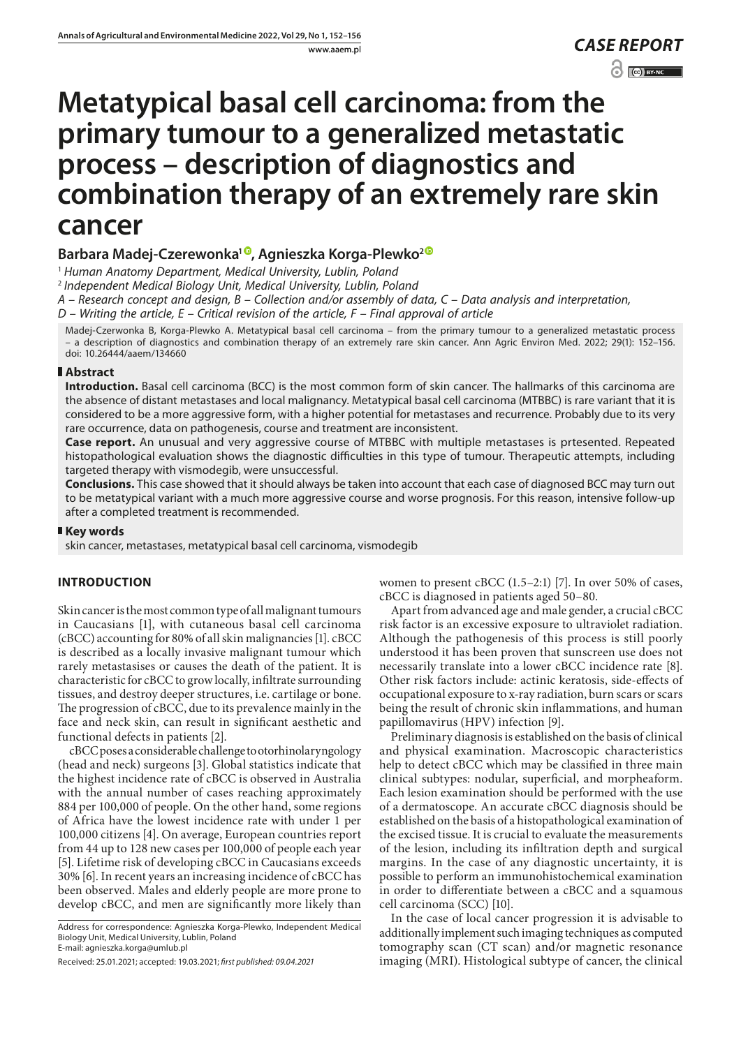# **Metatypical basal cell carcinoma: from the primary tumour to a generalized metastatic process – description of diagnostics and combination therapy of an extremely rare skin cancer**

## **Barbara Madej-Czerewonka1 , Agnieszka Korga-Plewko2**

<sup>1</sup> *Human Anatomy Department, Medical University, Lublin, Poland*

<sup>2</sup> *Independent Medical Biology Unit, Medical University, Lublin, Poland*

*A – Research concept and design, B – Collection and/or assembly of data, C – Data analysis and interpretation,* 

*D – Writing the article, E – Critical revision of the article, F – Final approval of article*

Madej-Czerwonka B, Korga-Plewko A. Metatypical basal cell carcinoma – from the primary tumour to a generalized metastatic process – a description of diagnostics and combination therapy of an extremely rare skin cancer. Ann Agric Environ Med. 2022; 29(1): 152–156. doi: 10.26444/aaem/134660

## **Abstract**

**Introduction.** Basal cell carcinoma (BCC) is the most common form of skin cancer. The hallmarks of this carcinoma are the absence of distant metastases and local malignancy. Metatypical basal cell carcinoma (MTBBC) is rare variant that it is considered to be a more aggressive form, with a higher potential for metastases and recurrence. Probably due to its very rare occurrence, data on pathogenesis, course and treatment are inconsistent.

**Case report.** An unusual and very aggressive course of MTBBC with multiple metastases is prtesented. Repeated histopathological evaluation shows the diagnostic difficulties in this type of tumour. Therapeutic attempts, including targeted therapy with vismodegib, were unsuccessful.

**Conclusions.** This case showed that it should always be taken into account that each case of diagnosed BCC may turn out to be metatypical variant with a much more aggressive course and worse prognosis. For this reason, intensive follow-up after a completed treatment is recommended.

## **Key words**

skin cancer, metastases, metatypical basal cell carcinoma, vismodegib

# **INTRODUCTION**

Skin cancer is the most common type of all malignant tumours in Caucasians [1], with cutaneous basal cell carcinoma (cBCC) accounting for 80% of all skin malignancies [1]. cBCC is described as a locally invasive malignant tumour which rarely metastasises or causes the death of the patient. It is characteristic for cBCC to grow locally, infiltrate surrounding tissues, and destroy deeper structures, i.e. cartilage or bone. The progression of cBCC, due to its prevalence mainly in the face and neck skin, can result in significant aesthetic and functional defects in patients [2].

cBCC poses a considerable challenge to otorhinolaryngology (head and neck) surgeons [3]. Global statistics indicate that the highest incidence rate of cBCC is observed in Australia with the annual number of cases reaching approximately 884 per 100,000 of people. On the other hand, some regions of Africa have the lowest incidence rate with under 1 per 100,000 citizens [4]. On average, European countries report from 44 up to 128 new cases per 100,000 of people each year [5]. Lifetime risk of developing cBCC in Caucasians exceeds 30% [6]. In recent years an increasing incidence of cBCC has been observed. Males and elderly people are more prone to develop cBCC, and men are significantly more likely than

women to present cBCC (1.5–2:1) [7]. In over 50% of cases, cBCC is diagnosed in patients aged 50–80.

Apart from advanced age and male gender, a crucial cBCC risk factor is an excessive exposure to ultraviolet radiation. Although the pathogenesis of this process is still poorly understood it has been proven that sunscreen use does not necessarily translate into a lower cBCC incidence rate [8]. Other risk factors include: actinic keratosis, side-effects of occupational exposure to x-ray radiation, burn scars or scars being the result of chronic skin inflammations, and human papillomavirus (HPV) infection [9].

Preliminary diagnosis is established on the basis of clinical and physical examination. Macroscopic characteristics help to detect cBCC which may be classified in three main clinical subtypes: nodular, superficial, and morpheaform. Each lesion examination should be performed with the use of a dermatoscope. An accurate cBCC diagnosis should be established on the basis of a histopathological examination of the excised tissue. It is crucial to evaluate the measurements of the lesion, including its infiltration depth and surgical margins. In the case of any diagnostic uncertainty, it is possible to perform an immunohistochemical examination in order to differentiate between a cBCC and a squamous cell carcinoma (SCC) [10].

In the case of local cancer progression it is advisable to additionally implement such imaging techniques as computed tomography scan (CT scan) and/or magnetic resonance imaging (MRI). Histological subtype of cancer, the clinical

Address for correspondence: Agnieszka Korga-Plewko, Independent Medical Biology Unit, Medical University, Lublin, Poland E-mail: agnieszka.korga@umlub.pl

Received: 25.01.2021; accepted: 19.03.2021; *first published: 09.04.2021*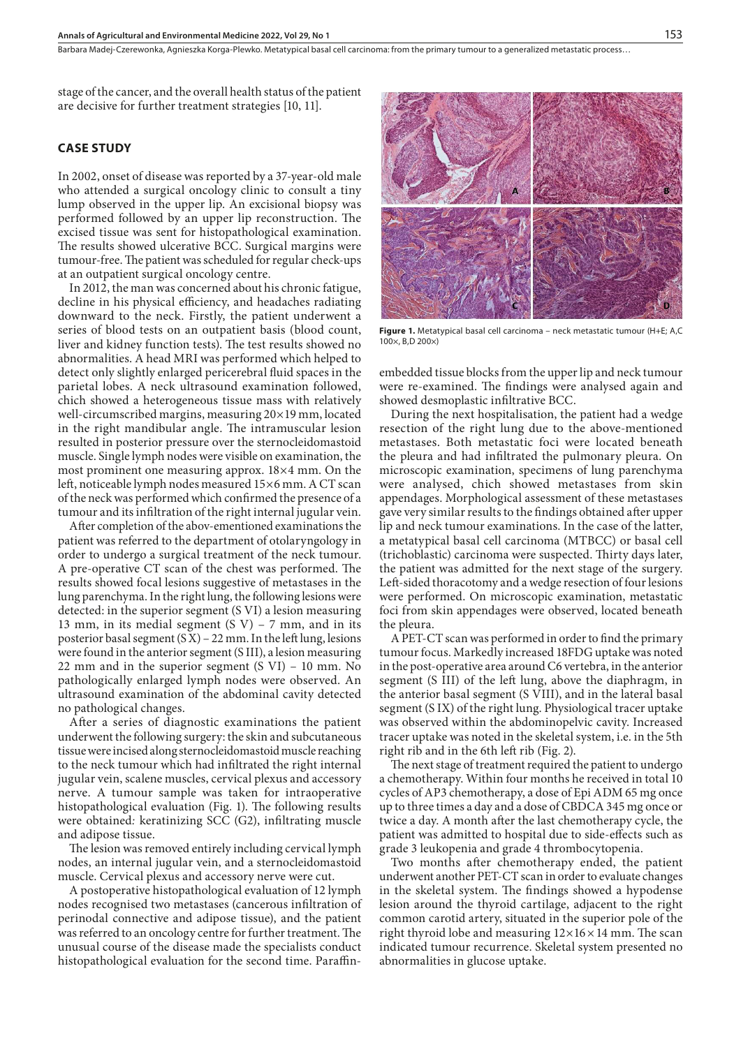stage of the cancer, and the overall health status of the patient are decisive for further treatment strategies [10, 11].

## **CASE STUDY**

In 2002, onset of disease was reported by a 37-year-old male who attended a surgical oncology clinic to consult a tiny lump observed in the upper lip. An excisional biopsy was performed followed by an upper lip reconstruction. The excised tissue was sent for histopathological examination. The results showed ulcerative BCC. Surgical margins were tumour-free. The patient was scheduled for regular check-ups at an outpatient surgical oncology centre.

In 2012, the man was concerned about his chronic fatigue, decline in his physical efficiency, and headaches radiating downward to the neck. Firstly, the patient underwent a series of blood tests on an outpatient basis (blood count, liver and kidney function tests). The test results showed no abnormalities. A head MRI was performed which helped to detect only slightly enlarged pericerebral fluid spaces in the parietal lobes. A neck ultrasound examination followed, chich showed a heterogeneous tissue mass with relatively well-circumscribed margins, measuring 20×19 mm, located in the right mandibular angle. The intramuscular lesion resulted in posterior pressure over the sternocleidomastoid muscle. Single lymph nodes were visible on examination, the most prominent one measuring approx. 18×4 mm. On the left, noticeable lymph nodes measured 15×6 mm. A CT scan of the neck was performed which confirmed the presence of a tumour and its infiltration of the right internal jugular vein.

After completion of the abov-ementioned examinations the patient was referred to the department of otolaryngology in order to undergo a surgical treatment of the neck tumour. A pre-operative CT scan of the chest was performed. The results showed focal lesions suggestive of metastases in the lung parenchyma. In the right lung, the following lesions were detected: in the superior segment (S VI) a lesion measuring 13 mm, in its medial segment  $(S \ V) - 7$  mm, and in its posterior basal segment  $(S\bar{X})$  – 22 mm. In the left lung, lesions were found in the anterior segment (S III), a lesion measuring 22 mm and in the superior segment  $(S VI) - 10 mm$ . No pathologically enlarged lymph nodes were observed. An ultrasound examination of the abdominal cavity detected no pathological changes.

After a series of diagnostic examinations the patient underwent the following surgery: the skin and subcutaneous tissue were incised along sternocleidomastoid muscle reaching to the neck tumour which had infiltrated the right internal jugular vein, scalene muscles, cervical plexus and accessory nerve. A tumour sample was taken for intraoperative histopathological evaluation (Fig. 1). The following results were obtained*:* keratinizing SCC (G2), infiltrating muscle and adipose tissue.

The lesion was removed entirely including cervical lymph nodes, an internal jugular vein, and a sternocleidomastoid muscle. Cervical plexus and accessory nerve were cut.

A postoperative histopathological evaluation of 12 lymph nodes recognised two metastases (cancerous infiltration of perinodal connective and adipose tissue), and the patient was referred to an oncology centre for further treatment. The unusual course of the disease made the specialists conduct histopathological evaluation for the second time. Paraffin-



**Figure 1.** Metatypical basal cell carcinoma – neck metastatic tumour (H+E; A,C 100×, B,D 200×)

embedded tissue blocks from the upper lip and neck tumour were re-examined. The findings were analysed again and showed desmoplastic infiltrative BCC.

During the next hospitalisation, the patient had a wedge resection of the right lung due to the above-mentioned metastases. Both metastatic foci were located beneath the pleura and had infiltrated the pulmonary pleura. On microscopic examination, specimens of lung parenchyma were analysed, chich showed metastases from skin appendages. Morphological assessment of these metastases gave very similar results to the findings obtained after upper lip and neck tumour examinations. In the case of the latter, a metatypical basal cell carcinoma (MTBCC) or basal cell (trichoblastic) carcinoma were suspected. Thirty days later, the patient was admitted for the next stage of the surgery. Left-sided thoracotomy and a wedge resection of four lesions were performed. On microscopic examination, metastatic foci from skin appendages were observed, located beneath the pleura.

A PET-CT scan was performed in order to find the primary tumour focus. Markedly increased 18FDG uptake was noted in the post-operative area around C6 vertebra, in the anterior segment (S III) of the left lung, above the diaphragm, in the anterior basal segment (S VIII), and in the lateral basal segment (S IX) of the right lung. Physiological tracer uptake was observed within the abdominopelvic cavity. Increased tracer uptake was noted in the skeletal system, i.e. in the 5th right rib and in the 6th left rib (Fig. 2).

The next stage of treatment required the patient to undergo a chemotherapy. Within four months he received in total 10 cycles of AP3 chemotherapy, a dose of Epi ADM 65 mg once up to three times a day and a dose of CBDCA 345 mg once or twice a day. A month after the last chemotherapy cycle, the patient was admitted to hospital due to side-effects such as grade 3 leukopenia and grade 4 thrombocytopenia.

Two months after chemotherapy ended, the patient underwent another PET-CT scan in order to evaluate changes in the skeletal system. The findings showed a hypodense lesion around the thyroid cartilage, adjacent to the right common carotid artery, situated in the superior pole of the right thyroid lobe and measuring  $12\times16\times14$  mm. The scan indicated tumour recurrence. Skeletal system presented no abnormalities in glucose uptake.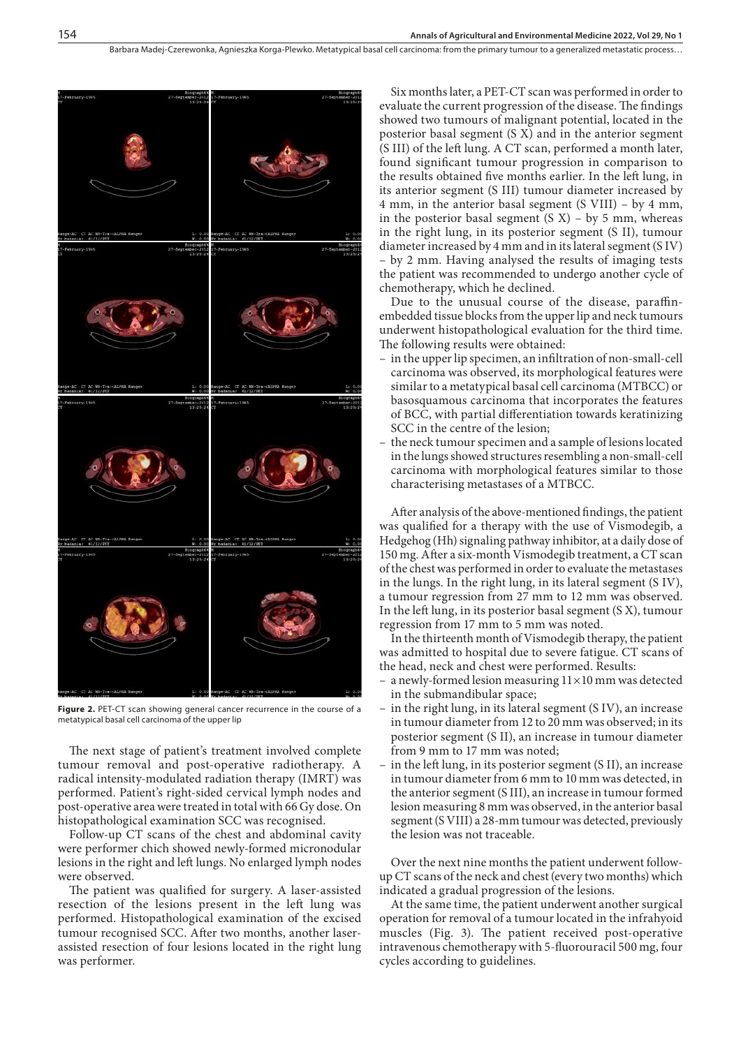Barbara Madei-Czerewonka, Agnieszka Korga-Plewko, Metatypical basal cell carcinoma: from the primary tumour to a generalized metastatic process...



**Figure 2.** PET-CT scan showing general cancer recurrence in the course of a metatypical basal cell carcinoma of the upper lip

The next stage of patient's treatment involved complete tumour removal and post-operative radiotherapy. A radical intensity-modulated radiation therapy (IMRT) was performed. Patient's right-sided cervical lymph nodes and post-operative area were treated in total with 66 Gy dose. On histopathological examination SCC was recognised.

Follow-up CT scans of the chest and abdominal cavity were performer chich showed newly-formed micronodular lesions in the right and left lungs. No enlarged lymph nodes were observed.

The patient was qualified for surgery. A laser-assisted resection of the lesions present in the left lung was performed. Histopathological examination of the excised tumour recognised SCC. After two months, another laserassisted resection of four lesions located in the right lung was performer.

Six months later, a PET-CT scan was performed in order to evaluate the current progression of the disease. The findings showed two tumours of malignant potential, located in the posterior basal segment (S X) and in the anterior segment (S III) of the left lung. A CT scan, performed a month later, found significant tumour progression in comparison to the results obtained five months earlier. In the left lung, in its anterior segment (S III) tumour diameter increased by 4 mm, in the anterior basal segment (S VIII) – by 4 mm, in the posterior basal segment  $(S X)$  – by 5 mm, whereas in the right lung, in its posterior segment (S II), tumour diameter increased by 4 mm and in its lateral segment (S IV) – by 2 mm. Having analysed the results of imaging tests the patient was recommended to undergo another cycle of chemotherapy, which he declined.

Due to the unusual course of the disease, paraffinembedded tissue blocks from the upper lip and neck tumours underwent histopathological evaluation for the third time. The following results were obtained:

- in the upper lip specimen, an infiltration of non-small-cell carcinoma was observed, its morphological features were similar to a metatypical basal cell carcinoma (MTBCC) or basosquamous carcinoma that incorporates the features of BCC, with partial differentiation towards keratinizing SCC in the centre of the lesion;
- the neck tumour specimen and a sample of lesions located in the lungs showed structures resembling a non-small-cell carcinoma with morphological features similar to those characterising metastases of a MTBCC.

After analysis of the above-mentioned findings, the patient was qualified for a therapy with the use of Vismodegib, a Hedgehog (Hh) signaling pathway inhibitor, at a daily dose of 150 mg. After a six-month Vismodegib treatment, a CT scan of the chest was performed in order to evaluate the metastases in the lungs. In the right lung, in its lateral segment (S IV), a tumour regression from 27 mm to 12 mm was observed. In the left lung, in its posterior basal segment (S X), tumour regression from 17 mm to 5 mm was noted.

In the thirteenth month of Vismodegib therapy, the patient was admitted to hospital due to severe fatigue. CT scans of the head, neck and chest were performed. Results:

- a newly-formed lesion measuring  $11\times10$  mm was detected in the submandibular space;
- in the right lung, in its lateral segment (S IV), an increase in tumour diameter from 12 to 20 mm was observed; in its posterior segment (S II), an increase in tumour diameter from 9 mm to 17 mm was noted;
- in the left lung, in its posterior segment (S II), an increase in tumour diameter from 6 mm to 10 mm was detected, in the anterior segment (S III), an increase in tumour formed lesion measuring 8 mm was observed, in the anterior basal segment (S VIII) a 28-mm tumour was detected, previously the lesion was not traceable.

Over the next nine months the patient underwent followup CT scans of the neck and chest (every two months) which indicated a gradual progression of the lesions.

At the same time, the patient underwent another surgical operation for removal of a tumour located in the infrahyoid muscles (Fig. 3). The patient received post-operative intravenous chemotherapy with 5-fluorouracil 500 mg, four cycles according to guidelines.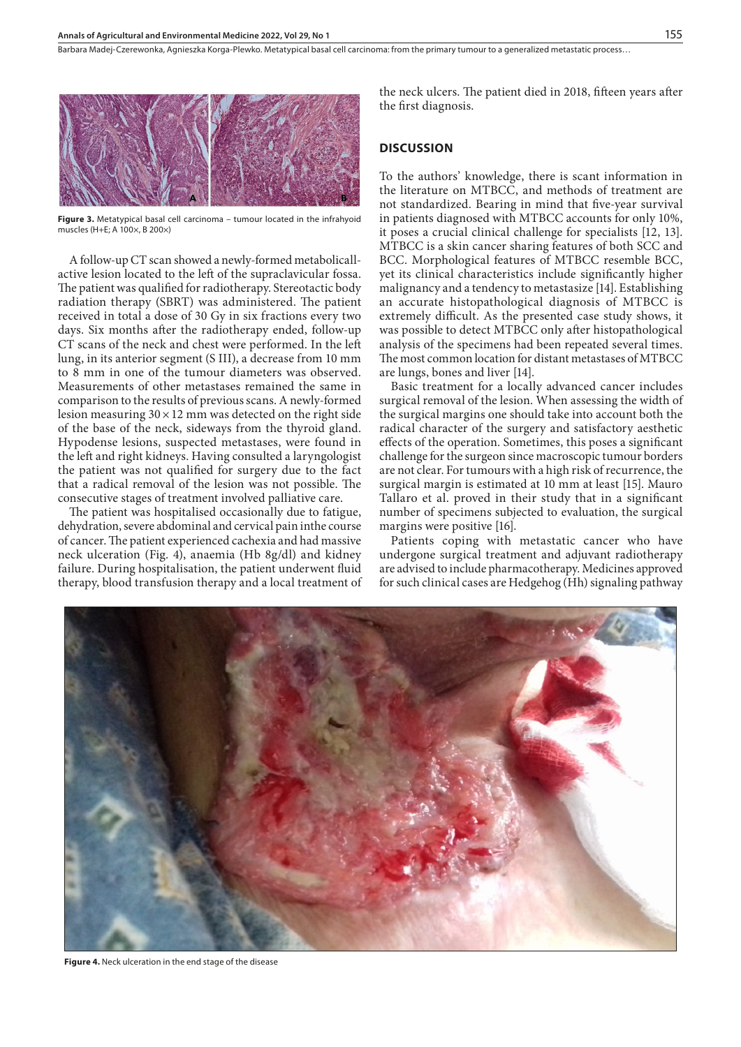Barbara Madej-Czerewonka, Agnieszka Korga-Plewko, Metatypical basal cell carcinoma: from the primary tumour to a generalized metastatic process...



**Figure 3.** Metatypical basal cell carcinoma – tumour located in the infrahyoid muscles (H+E; A 100×, B 200×)

A follow-up CT scan showed a newly-formed metabolicallactive lesion located to the left of the supraclavicular fossa. The patient was qualified for radiotherapy. Stereotactic body radiation therapy (SBRT) was administered. The patient received in total a dose of 30 Gy in six fractions every two days. Six months after the radiotherapy ended, follow-up CT scans of the neck and chest were performed. In the left lung, in its anterior segment (S III), a decrease from 10 mm to 8 mm in one of the tumour diameters was observed. Measurements of other metastases remained the same in comparison to the results of previous scans. A newly-formed lesion measuring  $30 \times 12$  mm was detected on the right side of the base of the neck, sideways from the thyroid gland. Hypodense lesions, suspected metastases, were found in the left and right kidneys. Having consulted a laryngologist the patient was not qualified for surgery due to the fact that a radical removal of the lesion was not possible. The consecutive stages of treatment involved palliative care.

The patient was hospitalised occasionally due to fatigue, dehydration, severe abdominal and cervical pain inthe course of cancer. The patient experienced cachexia and had massive neck ulceration (Fig. 4), anaemia (Hb 8g/dl) and kidney failure. During hospitalisation, the patient underwent fluid therapy, blood transfusion therapy and a local treatment of the neck ulcers. The patient died in 2018, fifteen years after the first diagnosis.

## **DISCUSSION**

To the authors' knowledge, there is scant information in the literature on MTBCC, and methods of treatment are not standardized. Bearing in mind that five-year survival in patients diagnosed with MTBCC accounts for only 10%, it poses a crucial clinical challenge for specialists [12, 13]. MTBCC is a skin cancer sharing features of both SCC and BCC. Morphological features of MTBCC resemble BCC, yet its clinical characteristics include significantly higher malignancy and a tendency to metastasize [14]. Establishing an accurate histopathological diagnosis of MTBCC is extremely difficult. As the presented case study shows, it was possible to detect MTBCC only after histopathological analysis of the specimens had been repeated several times. The most common location for distant metastases of MTBCC are lungs, bones and liver [14].

Basic treatment for a locally advanced cancer includes surgical removal of the lesion. When assessing the width of the surgical margins one should take into account both the radical character of the surgery and satisfactory aesthetic effects of the operation. Sometimes, this poses a significant challenge for the surgeon since macroscopic tumour borders are not clear. For tumours with a high risk of recurrence, the surgical margin is estimated at 10 mm at least [15]. Mauro Tallaro et al. proved in their study that in a significant number of specimens subjected to evaluation, the surgical margins were positive [16].

Patients coping with metastatic cancer who have undergone surgical treatment and adjuvant radiotherapy are advised to include pharmacotherapy. Medicines approved for such clinical cases are Hedgehog (Hh) signaling pathway



**Figure 4.** Neck ulceration in the end stage of the disease